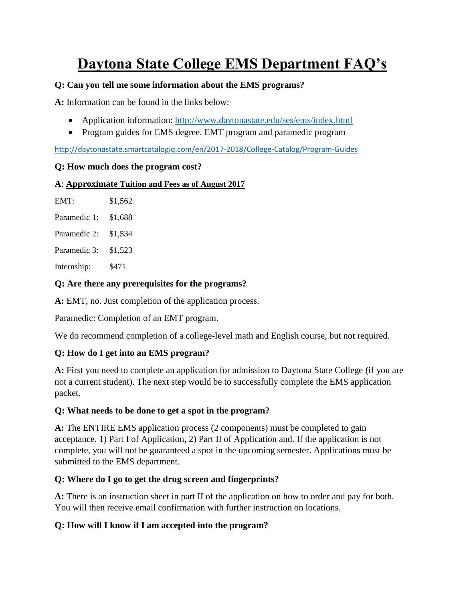# **Daytona State College EMS Department FAQ's**

#### **Q: Can you tell me some information about the EMS programs?**

**A:** Information can be found in the links below:

- Application information:<http://www.daytonastate.edu/ses/ems/index.html>
- Program guides for EMS degree, EMT program and paramedic program

<http://daytonastate.smartcatalogiq.com/en/2017-2018/College-Catalog/Program-Guides>

#### **Q: How much does the program cost?**

#### **A**: **Approximate Tuition and Fees as of August 2017**

| EMT:         | \$1,562 |
|--------------|---------|
| Paramedic 1: | \$1,688 |
| Paramedic 2: | \$1,534 |
| Paramedic 3: | \$1,523 |
|              |         |

Internship: \$471

#### **Q: Are there any prerequisites for the programs?**

**A:** EMT, no. Just completion of the application process.

Paramedic: Completion of an EMT program.

We do recommend completion of a college-level math and English course, but not required.

#### **Q: How do I get into an EMS program?**

**A:** First you need to complete an application for admission to Daytona State College (if you are not a current student). The next step would be to successfully complete the EMS application packet.

#### **Q: What needs to be done to get a spot in the program?**

**A:** The ENTIRE EMS application process (2 components) must be completed to gain acceptance. 1) Part I of Application, 2) Part II of Application and. If the application is not complete, you will not be guaranteed a spot in the upcoming semester. Applications must be submitted to the EMS department.

#### **Q: Where do I go to get the drug screen and fingerprints?**

**A:** There is an instruction sheet in part II of the application on how to order and pay for both. You will then receive email confirmation with further instruction on locations.

#### **Q: How will I know if I am accepted into the program?**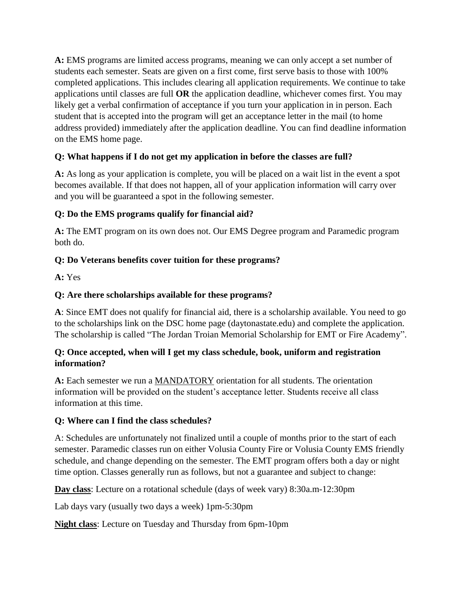**A:** EMS programs are limited access programs, meaning we can only accept a set number of students each semester. Seats are given on a first come, first serve basis to those with 100% completed applications. This includes clearing all application requirements. We continue to take applications until classes are full **OR** the application deadline, whichever comes first. You may likely get a verbal confirmation of acceptance if you turn your application in in person. Each student that is accepted into the program will get an acceptance letter in the mail (to home address provided) immediately after the application deadline. You can find deadline information on the EMS home page.

## **Q: What happens if I do not get my application in before the classes are full?**

**A:** As long as your application is complete, you will be placed on a wait list in the event a spot becomes available. If that does not happen, all of your application information will carry over and you will be guaranteed a spot in the following semester.

## **Q: Do the EMS programs qualify for financial aid?**

**A:** The EMT program on its own does not. Our EMS Degree program and Paramedic program both do.

## **Q: Do Veterans benefits cover tuition for these programs?**

**A:** Yes

## **Q: Are there scholarships available for these programs?**

**A**: Since EMT does not qualify for financial aid, there is a scholarship available. You need to go to the scholarships link on the DSC home page (daytonastate.edu) and complete the application. The scholarship is called "The Jordan Troian Memorial Scholarship for EMT or Fire Academy".

#### **Q: Once accepted, when will I get my class schedule, book, uniform and registration information?**

**A:** Each semester we run a MANDATORY orientation for all students. The orientation information will be provided on the student's acceptance letter. Students receive all class information at this time.

#### **Q: Where can I find the class schedules?**

A: Schedules are unfortunately not finalized until a couple of months prior to the start of each semester. Paramedic classes run on either Volusia County Fire or Volusia County EMS friendly schedule, and change depending on the semester. The EMT program offers both a day or night time option. Classes generally run as follows, but not a guarantee and subject to change:

**Day class**: Lecture on a rotational schedule (days of week vary) 8:30a.m-12:30pm

Lab days vary (usually two days a week) 1pm-5:30pm

**Night class**: Lecture on Tuesday and Thursday from 6pm-10pm